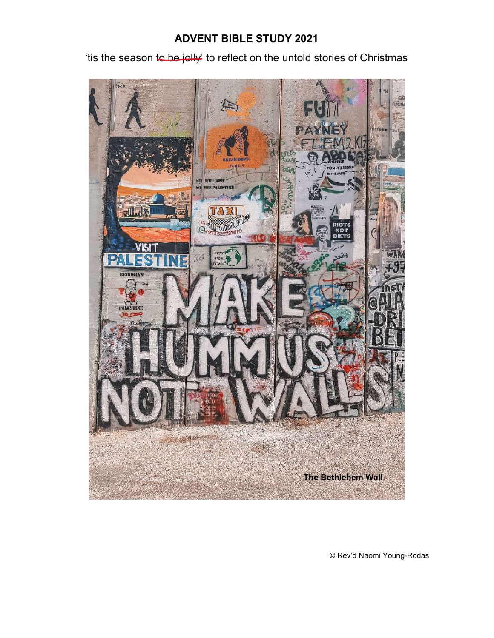# ADVENT BIBLE STUDY 2021

'tis the season to be jolly' to reflect on the untold stories of Christmas



© Rev'd Naomi Young-Rodas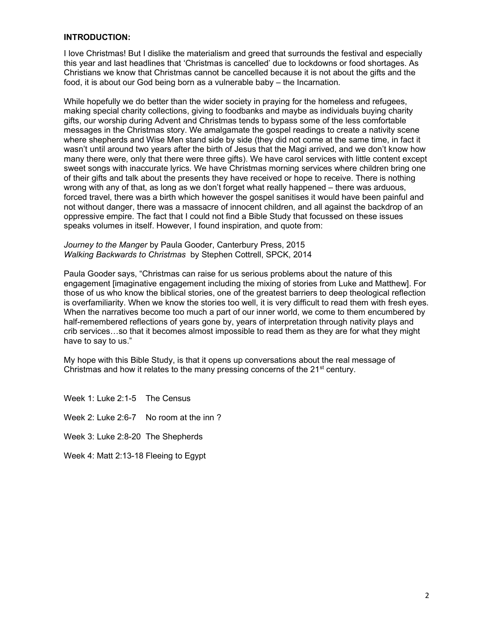## INTRODUCTION:

I love Christmas! But I dislike the materialism and greed that surrounds the festival and especially this year and last headlines that 'Christmas is cancelled' due to lockdowns or food shortages. As Christians we know that Christmas cannot be cancelled because it is not about the gifts and the food, it is about our God being born as a vulnerable baby – the Incarnation.

While hopefully we do better than the wider society in praying for the homeless and refugees, making special charity collections, giving to foodbanks and maybe as individuals buying charity gifts, our worship during Advent and Christmas tends to bypass some of the less comfortable messages in the Christmas story. We amalgamate the gospel readings to create a nativity scene where shepherds and Wise Men stand side by side (they did not come at the same time, in fact it wasn't until around two years after the birth of Jesus that the Magi arrived, and we don't know how many there were, only that there were three gifts). We have carol services with little content except sweet songs with inaccurate lyrics. We have Christmas morning services where children bring one of their gifts and talk about the presents they have received or hope to receive. There is nothing wrong with any of that, as long as we don't forget what really happened – there was arduous, forced travel, there was a birth which however the gospel sanitises it would have been painful and not without danger, there was a massacre of innocent children, and all against the backdrop of an oppressive empire. The fact that I could not find a Bible Study that focussed on these issues speaks volumes in itself. However, I found inspiration, and quote from:

Journey to the Manger by Paula Gooder, Canterbury Press, 2015 Walking Backwards to Christmas by Stephen Cottrell, SPCK, 2014

Paula Gooder says, "Christmas can raise for us serious problems about the nature of this engagement [imaginative engagement including the mixing of stories from Luke and Matthew]. For those of us who know the biblical stories, one of the greatest barriers to deep theological reflection is overfamiliarity. When we know the stories too well, it is very difficult to read them with fresh eyes. When the narratives become too much a part of our inner world, we come to them encumbered by half-remembered reflections of years gone by, years of interpretation through nativity plays and crib services…so that it becomes almost impossible to read them as they are for what they might have to say to us."

My hope with this Bible Study, is that it opens up conversations about the real message of Christmas and how it relates to the many pressing concerns of the  $21<sup>st</sup>$  century.

Week 1: Luke 2:1-5 The Census Week 2: Luke 2:6-7 No room at the inn? Week 3: Luke 2:8-20 The Shepherds Week 4: Matt 2:13-18 Fleeing to Egypt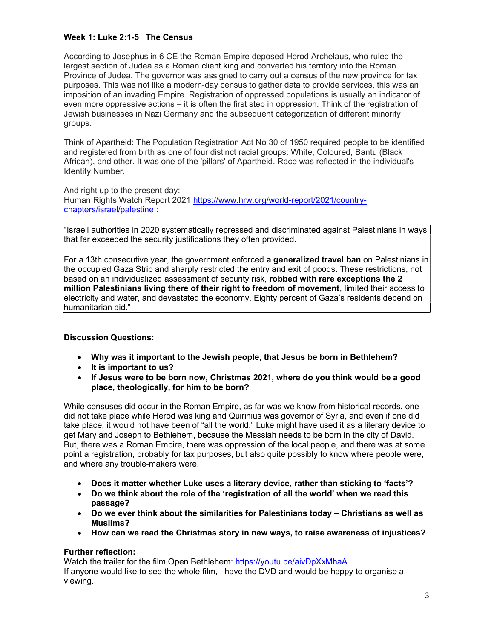# Week 1: Luke 2:1-5 The Census

According to Josephus in 6 CE the Roman Empire deposed Herod Archelaus, who ruled the largest section of Judea as a Roman client king and converted his territory into the Roman Province of Judea. The governor was assigned to carry out a census of the new province for tax purposes. This was not like a modern-day census to gather data to provide services, this was an imposition of an invading Empire. Registration of oppressed populations is usually an indicator of even more oppressive actions – it is often the first step in oppression. Think of the registration of Jewish businesses in Nazi Germany and the subsequent categorization of different minority groups.

Think of Apartheid: The Population Registration Act No 30 of 1950 required people to be identified and registered from birth as one of four distinct racial groups: White, Coloured, Bantu (Black African), and other. It was one of the 'pillars' of Apartheid. Race was reflected in the individual's Identity Number.

And right up to the present day: Human Rights Watch Report 2021 https://www.hrw.org/world-report/2021/countrychapters/israel/palestine :

"Israeli authorities in 2020 systematically repressed and discriminated against Palestinians in ways that far exceeded the security justifications they often provided.

For a 13th consecutive year, the government enforced a generalized travel ban on Palestinians in the occupied Gaza Strip and sharply restricted the entry and exit of goods. These restrictions, not based on an individualized assessment of security risk, robbed with rare exceptions the 2 million Palestinians living there of their right to freedom of movement, limited their access to electricity and water, and devastated the economy. Eighty percent of Gaza's residents depend on humanitarian aid."

# Discussion Questions:

- Why was it important to the Jewish people, that Jesus be born in Bethlehem?
- It is important to us?
- If Jesus were to be born now, Christmas 2021, where do you think would be a good place, theologically, for him to be born?

While censuses did occur in the Roman Empire, as far was we know from historical records, one did not take place while Herod was king and Quirinius was governor of Syria, and even if one did take place, it would not have been of "all the world." Luke might have used it as a literary device to get Mary and Joseph to Bethlehem, because the Messiah needs to be born in the city of David. But, there was a Roman Empire, there was oppression of the local people, and there was at some point a registration, probably for tax purposes, but also quite possibly to know where people were, and where any trouble-makers were.

- Does it matter whether Luke uses a literary device, rather than sticking to 'facts'?
- Do we think about the role of the 'registration of all the world' when we read this passage?
- Do we ever think about the similarities for Palestinians today Christians as well as Muslims?
- How can we read the Christmas story in new ways, to raise awareness of injustices?

# Further reflection:

Watch the trailer for the film Open Bethlehem: https://youtu.be/aivDpXxMhaA If anyone would like to see the whole film, I have the DVD and would be happy to organise a viewing.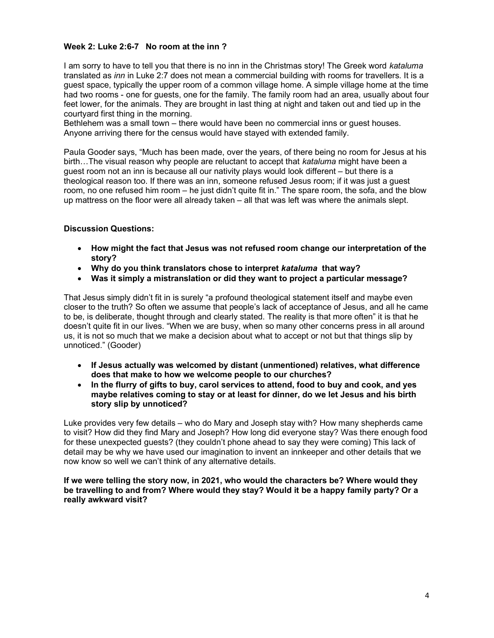# Week 2: Luke 2:6-7 No room at the inn ?

I am sorry to have to tell you that there is no inn in the Christmas story! The Greek word kataluma translated as *inn* in Luke 2:7 does not mean a commercial building with rooms for travellers. It is a guest space, typically the upper room of a common village home. A simple village home at the time had two rooms - one for guests, one for the family. The family room had an area, usually about four feet lower, for the animals. They are brought in last thing at night and taken out and tied up in the courtyard first thing in the morning.

Bethlehem was a small town – there would have been no commercial inns or guest houses. Anyone arriving there for the census would have stayed with extended family.

Paula Gooder says, "Much has been made, over the years, of there being no room for Jesus at his birth...The visual reason why people are reluctant to accept that *kataluma* might have been a guest room not an inn is because all our nativity plays would look different – but there is a theological reason too. If there was an inn, someone refused Jesus room; if it was just a guest room, no one refused him room – he just didn't quite fit in." The spare room, the sofa, and the blow up mattress on the floor were all already taken – all that was left was where the animals slept.

# Discussion Questions:

- How might the fact that Jesus was not refused room change our interpretation of the story?
- Why do you think translators chose to interpret kataluma that way?
- Was it simply a mistranslation or did they want to project a particular message?

That Jesus simply didn't fit in is surely "a profound theological statement itself and maybe even closer to the truth? So often we assume that people's lack of acceptance of Jesus, and all he came to be, is deliberate, thought through and clearly stated. The reality is that more often" it is that he doesn't quite fit in our lives. "When we are busy, when so many other concerns press in all around us, it is not so much that we make a decision about what to accept or not but that things slip by unnoticed." (Gooder)

- If Jesus actually was welcomed by distant (unmentioned) relatives, what difference does that make to how we welcome people to our churches?
- In the flurry of gifts to buy, carol services to attend, food to buy and cook, and yes maybe relatives coming to stay or at least for dinner, do we let Jesus and his birth story slip by unnoticed?

Luke provides very few details – who do Mary and Joseph stay with? How many shepherds came to visit? How did they find Mary and Joseph? How long did everyone stay? Was there enough food for these unexpected guests? (they couldn't phone ahead to say they were coming) This lack of detail may be why we have used our imagination to invent an innkeeper and other details that we now know so well we can't think of any alternative details.

If we were telling the story now, in 2021, who would the characters be? Where would they be travelling to and from? Where would they stay? Would it be a happy family party? Or a really awkward visit?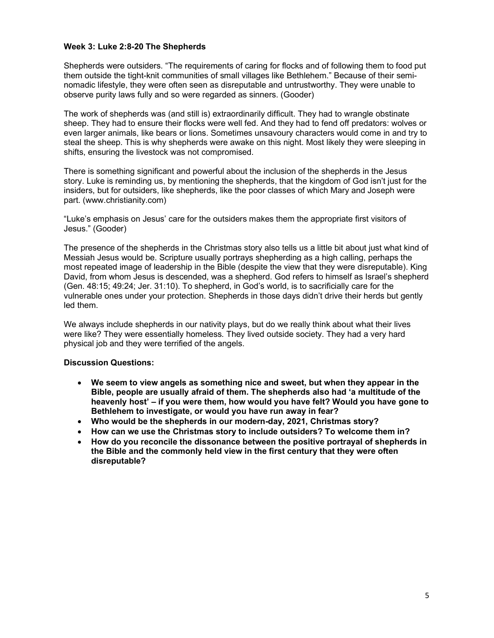## Week 3: Luke 2:8-20 The Shepherds

Shepherds were outsiders. "The requirements of caring for flocks and of following them to food put them outside the tight-knit communities of small villages like Bethlehem." Because of their seminomadic lifestyle, they were often seen as disreputable and untrustworthy. They were unable to observe purity laws fully and so were regarded as sinners. (Gooder)

The work of shepherds was (and still is) extraordinarily difficult. They had to wrangle obstinate sheep. They had to ensure their flocks were well fed. And they had to fend off predators: wolves or even larger animals, like bears or lions. Sometimes unsavoury characters would come in and try to steal the sheep. This is why shepherds were awake on this night. Most likely they were sleeping in shifts, ensuring the livestock was not compromised.

There is something significant and powerful about the inclusion of the shepherds in the Jesus story. Luke is reminding us, by mentioning the shepherds, that the kingdom of God isn't just for the insiders, but for outsiders, like shepherds, like the poor classes of which Mary and Joseph were part. (www.christianity.com)

"Luke's emphasis on Jesus' care for the outsiders makes them the appropriate first visitors of Jesus." (Gooder)

The presence of the shepherds in the Christmas story also tells us a little bit about just what kind of Messiah Jesus would be. Scripture usually portrays shepherding as a high calling, perhaps the most repeated image of leadership in the Bible (despite the view that they were disreputable). King David, from whom Jesus is descended, was a shepherd. God refers to himself as Israel's shepherd (Gen. 48:15; 49:24; Jer. 31:10). To shepherd, in God's world, is to sacrificially care for the vulnerable ones under your protection. Shepherds in those days didn't drive their herds but gently led them.

We always include shepherds in our nativity plays, but do we really think about what their lives were like? They were essentially homeless. They lived outside society. They had a very hard physical job and they were terrified of the angels.

#### Discussion Questions:

- We seem to view angels as something nice and sweet, but when they appear in the Bible, people are usually afraid of them. The shepherds also had 'a multitude of the heavenly host' – if you were them, how would you have felt? Would you have gone to Bethlehem to investigate, or would you have run away in fear?
- Who would be the shepherds in our modern-day, 2021, Christmas story?
- How can we use the Christmas story to include outsiders? To welcome them in?
- How do you reconcile the dissonance between the positive portrayal of shepherds in the Bible and the commonly held view in the first century that they were often disreputable?